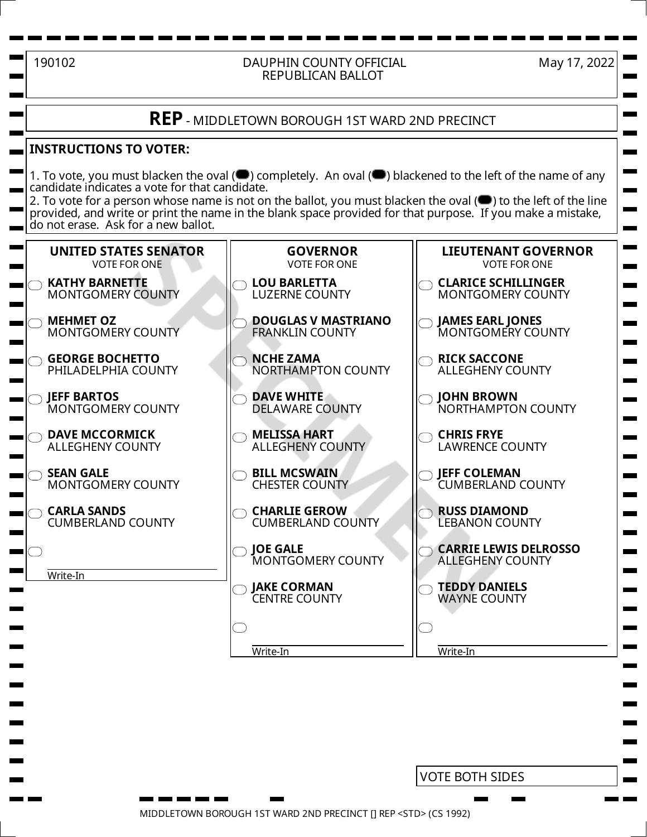## 190102 DAUPHIN COUNTY OFFICIAL REPUBLICAN BALLOT

## **REP** - MIDDLETOWN BOROUGH 1ST WARD 2ND PRECINCT **INSTRUCTIONS TO VOTER:** 1. To vote, you must blacken the oval ( $\blacksquare$ ) completely. An oval ( $\blacksquare$ ) blackened to the left of the name of any candidate indicates a vote for that candidate. 2. To vote for a person whose name is not on the ballot, you must blacken the oval  $($ **•**) to the left of the line provided, and write or print the name in the blank space provided for that purpose. If you make a mistake, do not erase. Ask for a new ballot. **UNITED STATES SENATOR** VOTE FOR ONE **KATHY BARNETTE** MONTGOMERY COUNTY **MEHMET OZ** MONTGOMERY COUNTY **GEORGE BOCHETTO** PHILADELPHIA COUNTY **JEFF BARTOS** MONTGOMERY COUNTY **DAVE MCCORMICK** ALLEGHENY COUNTY **SEAN GALE** MONTGOMERY COUNTY **CARLA SANDS** CUMBERLAND COUNTY Write-In **GOVERNOR** VOTE FOR ONE **LOU BARLETTA** LUZERNE COUNTY **DOUGLAS V MASTRIANO** FRANKLIN COUNTY **NCHE ZAMA** NORTHAMPTON COUNTY **DAVE WHITE** DELAWARE COUNTY **MELISSA HART** ALLEGHENY COUNTY **BILL MCSWAIN** CHESTER COUNTY **CHARLIE GEROW** CUMBERLAND COUNTY **JOE GALE** MONTGOMERY COUNTY **JAKE CORMAN** CENTRE COUNTY Write-In **LIEUTENANT GOVERNOR** VOTE FOR ONE **CLARICE SCHILLINGER** MONTGOMERY COUNTY **JAMES EARL JONES** MONTGOMERY COUNTY **RICK SACCONE** ALLEGHENY COUNTY  $\supset$  JOHN BROWN NORTHAMPTON COUNTY **CHRIS FRYE** LAWRENCE COUNTY **JEFF COLEMAN** CUMBERLAND COUNTY **RUSS DIAMOND** LEBANON COUNTY **CARRIE LEWIS DELROSSO** ALLEGHENY COUNTY **TEDDY DANIELS** WAYNE COUNTY Write-In

VOTE BOTH SIDES